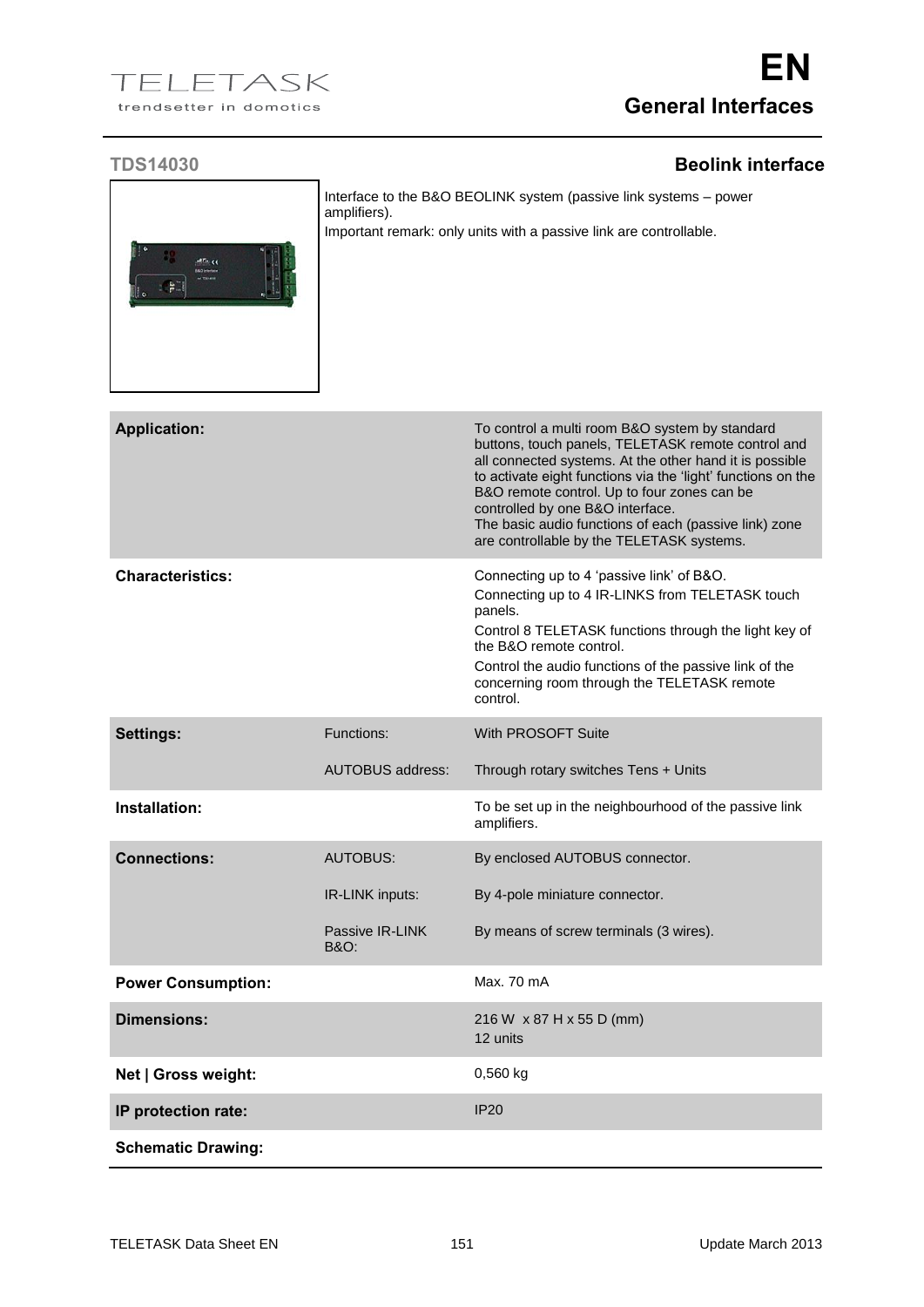## **TDS14030 Beolink interface**



Interface to the B&O BEOLINK system (passive link systems – power amplifiers). Important remark: only units with a passive link are controllable.

| <b>Application:</b>       |                                    | To control a multi room B&O system by standard<br>buttons, touch panels, TELETASK remote control and<br>all connected systems. At the other hand it is possible<br>to activate eight functions via the 'light' functions on the<br>B&O remote control. Up to four zones can be<br>controlled by one B&O interface.<br>The basic audio functions of each (passive link) zone<br>are controllable by the TELETASK systems. |
|---------------------------|------------------------------------|--------------------------------------------------------------------------------------------------------------------------------------------------------------------------------------------------------------------------------------------------------------------------------------------------------------------------------------------------------------------------------------------------------------------------|
| <b>Characteristics:</b>   |                                    | Connecting up to 4 'passive link' of B&O.<br>Connecting up to 4 IR-LINKS from TELETASK touch<br>panels.<br>Control 8 TELETASK functions through the light key of<br>the B&O remote control.<br>Control the audio functions of the passive link of the<br>concerning room through the TELETASK remote<br>control.                                                                                                         |
| Settings:                 | Functions:                         | With PROSOFT Suite                                                                                                                                                                                                                                                                                                                                                                                                       |
|                           | <b>AUTOBUS address:</b>            | Through rotary switches Tens + Units                                                                                                                                                                                                                                                                                                                                                                                     |
| Installation:             |                                    | To be set up in the neighbourhood of the passive link<br>amplifiers.                                                                                                                                                                                                                                                                                                                                                     |
| <b>Connections:</b>       | <b>AUTOBUS:</b>                    | By enclosed AUTOBUS connector.                                                                                                                                                                                                                                                                                                                                                                                           |
|                           | IR-LINK inputs:                    | By 4-pole miniature connector.                                                                                                                                                                                                                                                                                                                                                                                           |
|                           | Passive IR-LINK<br><b>B&amp;O:</b> | By means of screw terminals (3 wires).                                                                                                                                                                                                                                                                                                                                                                                   |
| <b>Power Consumption:</b> |                                    | Max. 70 mA                                                                                                                                                                                                                                                                                                                                                                                                               |
| <b>Dimensions:</b>        |                                    | 216 W x 87 H x 55 D (mm)<br>12 units                                                                                                                                                                                                                                                                                                                                                                                     |
| Net   Gross weight:       |                                    | $0,560$ kg                                                                                                                                                                                                                                                                                                                                                                                                               |
| IP protection rate:       |                                    | <b>IP20</b>                                                                                                                                                                                                                                                                                                                                                                                                              |
| <b>Schematic Drawing:</b> |                                    |                                                                                                                                                                                                                                                                                                                                                                                                                          |